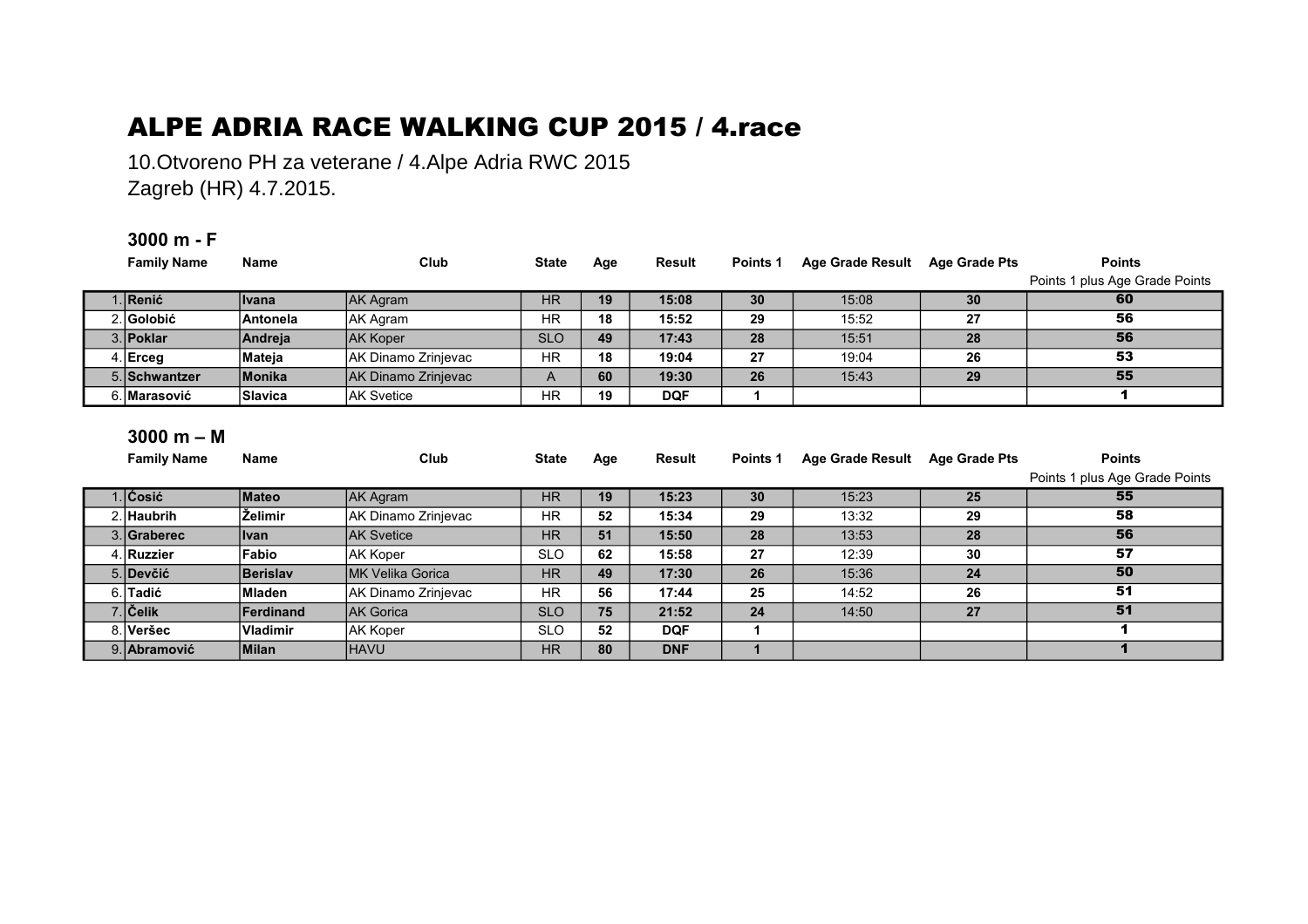## ALPE ADRIA RACE WALKING CUP 2015 / 4.race

10.Otvoreno PH za veterane / 4.Alpe Adria RWC 2015 Zagreb (HR) 4.7.2015.

## **3000 m - F**

| <b>Family Name</b> | <b>Name</b>      | Club                | <b>State</b> | Age | <b>Result</b> | Points 1 | Age Grade Result Age Grade Pts |    | <b>Points</b>                  |  |
|--------------------|------------------|---------------------|--------------|-----|---------------|----------|--------------------------------|----|--------------------------------|--|
|                    |                  |                     |              |     |               |          |                                |    | Points 1 plus Age Grade Points |  |
| 1. Renić           | ∣Ivana           | AK Agram            | <b>HR</b>    | 19  | 15:08         | 30       | 15:08                          | 30 | 60                             |  |
| 2. Golobić         | <b>Antonela</b>  | AK Agram            | <b>HR</b>    | 18  | 15:52         | 29       | 15:52                          | 27 | 56                             |  |
| 3. Poklar          | Andreja          | <b>AK Koper</b>     | <b>SLO</b>   | 49  | 17:43         | 28       | 15:51                          | 28 | 56                             |  |
| $4$ . Erceg        | Mateja           | AK Dinamo Zrinjevac | <b>HR</b>    | 18  | 19:04         | 27       | 19:04                          | 26 | 53                             |  |
| 5. Schwantzer      | Monika           | AK Dinamo Zrinjevac | A            | 60  | 19:30         | 26       | 15:43                          | 29 | 55                             |  |
| 6. Marasović       | <b>Slavica</b>   | <b>AK Svetice</b>   | <b>HR</b>    | 19  | <b>DQF</b>    |          |                                |    | 1.                             |  |
|                    |                  |                     |              |     |               |          |                                |    |                                |  |
| $3000 m - M$       |                  |                     |              |     |               |          |                                |    |                                |  |
| <b>Family Name</b> | <b>Name</b>      | Club                | <b>State</b> | Age | Result        | Points 1 | Age Grade Result Age Grade Pts |    | <b>Points</b>                  |  |
|                    |                  |                     |              |     |               |          |                                |    | Points 1 plus Age Grade Points |  |
| 1. Čosić           | Mateo            | AK Agram            | <b>HR</b>    | 19  | 15:23         | 30       | 15:23                          | 25 | 55                             |  |
| 2. Haubrih         | ∣Želimir         | AK Dinamo Zrinjevac | <b>HR</b>    | 52  | 15:34         | 29       | 13:32                          | 29 | 58                             |  |
| 3. Graberec        | Ivan             | <b>IAK Svetice</b>  | <b>HR</b>    | 51  | 15:50         | 28       | 13:53                          | 28 | 56                             |  |
| 4. Ruzzier         | Fabio            | AK Koper            | <b>SLO</b>   | 62  | 15:58         | 27       | 12:39                          | 30 | 57                             |  |
| 5. Devčić          | <b>Berislav</b>  | IMK Velika Gorica   | <b>HR</b>    | 49  | 17:30         | 26       | 15:36                          | 24 | 50                             |  |
| 6. Tadić           | Mladen           | AK Dinamo Zrinjevac | <b>HR</b>    | 56  | 17:44         | 25       | 14:52                          | 26 | 51                             |  |
| 7. Čelik           | <b>Ferdinand</b> | <b>IAK Gorica</b>   | <b>SLO</b>   | 75  | 21:52         | 24       | 14:50                          | 27 | 51                             |  |
|                    |                  |                     |              |     |               |          |                                |    |                                |  |
| 8. Veršec          | Vladimir         | <b>AK Koper</b>     | <b>SLO</b>   | 52  | <b>DQF</b>    |          |                                |    | 1                              |  |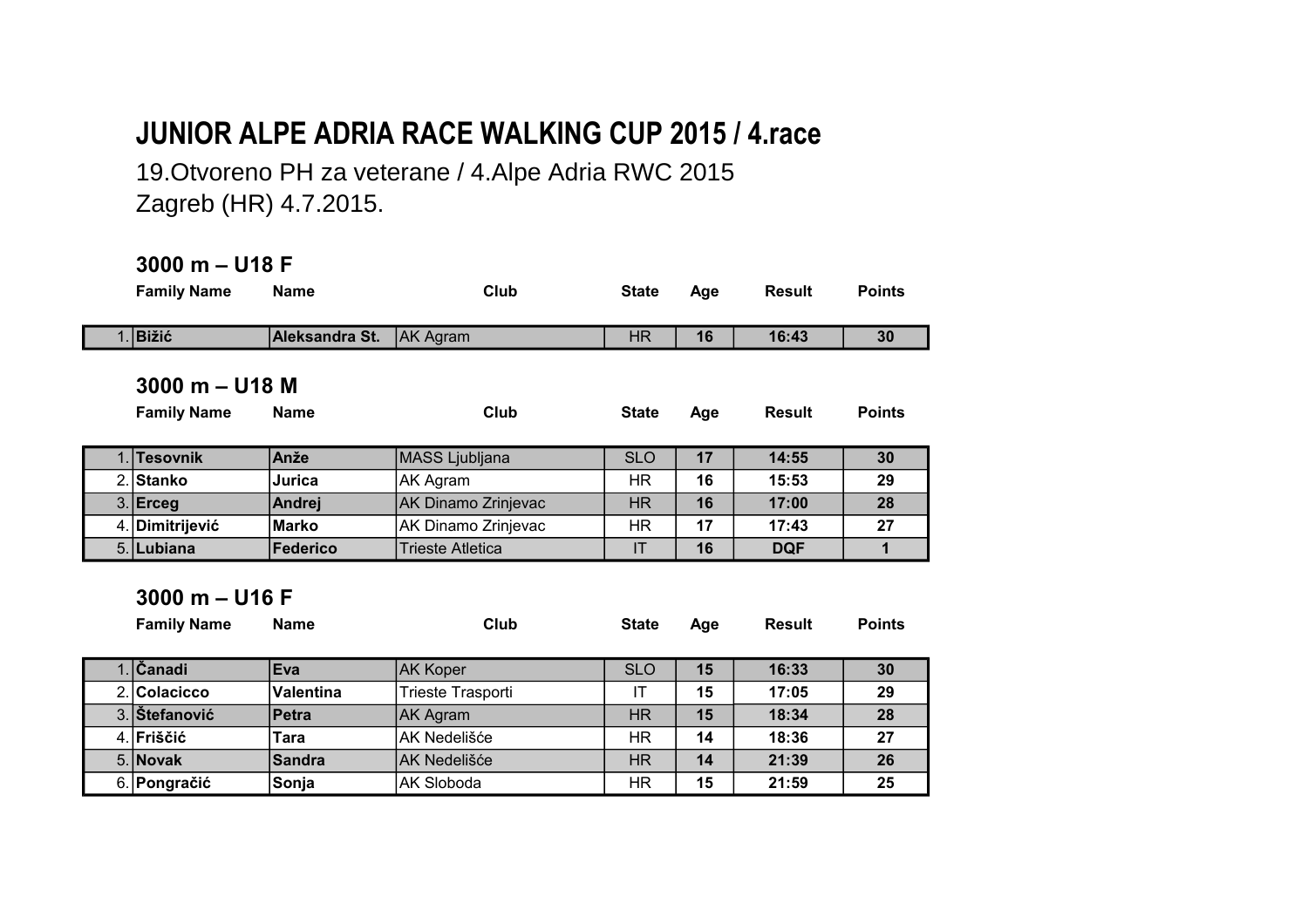## **JUNIOR ALPE ADRIA RACE WALKING CUP 2015 / 4.race**

19.Otvoreno PH za veterane / 4.Alpe Adria RWC 2015 Zagreb (HR) 4.7.2015.

## **3000 m – U18 F**

| <b>Family Name</b><br><b>Name</b> |                  | Club                       | <b>State</b> | Age | <b>Result</b> | <b>Points</b> |  |
|-----------------------------------|------------------|----------------------------|--------------|-----|---------------|---------------|--|
| Bižić                             | Aleksandra St.   | <b>AK Agram</b>            | <b>HR</b>    | 16  | 16:43         | 30            |  |
| $3000 m - U18 M$                  |                  |                            |              |     |               |               |  |
| <b>Family Name</b>                | <b>Name</b>      | Club                       | <b>State</b> | Age | <b>Result</b> | <b>Points</b> |  |
| <b>Tesovnik</b>                   | Anže             | <b>MASS Ljubljana</b>      | <b>SLO</b>   | 17  | 14:55         | 30            |  |
| 2. Stanko                         | Jurica           | AK Agram                   | HR.          | 16  | 15:53         | 29            |  |
| $3.$ Erceg                        | Andrej           | <b>AK Dinamo Zrinjevac</b> | HR.          | 16  | 17:00         | 28            |  |
| 4. Dimitrijević                   | <b>Marko</b>     | AK Dinamo Zrinjevac        | HR           | 17  | 17:43         | 27            |  |
| 5. Lubiana                        | <b>Federico</b>  | Trieste Atletica           | IT           | 16  | <b>DQF</b>    | 1             |  |
| $3000 m - U16 F$                  |                  |                            |              |     |               |               |  |
| <b>Family Name</b>                | <b>Name</b>      | Club                       | <b>State</b> | Age | <b>Result</b> | <b>Points</b> |  |
| <b>Canadi</b>                     | <b>Eva</b>       | <b>AK Koper</b>            | <b>SLO</b>   | 15  | 16:33         | 30            |  |
| 2 Colacicco                       | <b>Valentina</b> | Trieste Trasnorti          | IT           | 15  | 17:05         | 29            |  |

|               | ---              | ,,,,,,,,,,,,      | <u>ULV</u> | . . | .     | . . |
|---------------|------------------|-------------------|------------|-----|-------|-----|
| 2. Colacicco  | <b>Valentina</b> | Trieste Trasporti |            | 15  | 17:05 | 29  |
| 3. Stefanović | <b>Petra</b>     | <b>JAK Agram</b>  | ΗR         | 15  | 18:34 | 28  |
| 4. Friščić    | Гаrа             | IAK Nedelišće     | ΗR         | 14  | 18:36 | 27  |
| 5. Novak      | Sandra           | IAK Nedelišće     | ΗR         | 14  | 21:39 | 26  |
| 6. Pongračić  | Sonja            | AK Sloboda        | ΗR         | 15  | 21:59 | 25  |